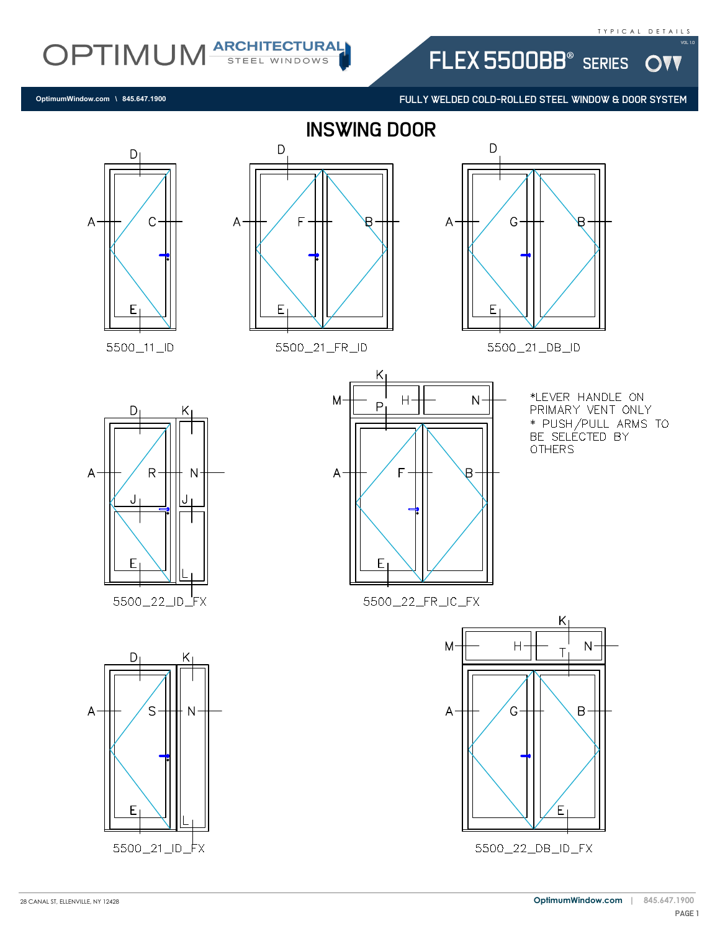W

OPTIMUM ARCHITECTURAL

FULLY WELDED COLD-ROLLED STEEL WINDOW & DOOR SYSTEM

FLEX 5500BB<sup>®</sup> SERIES



**OptimumWindow.com \ 845.647.1900**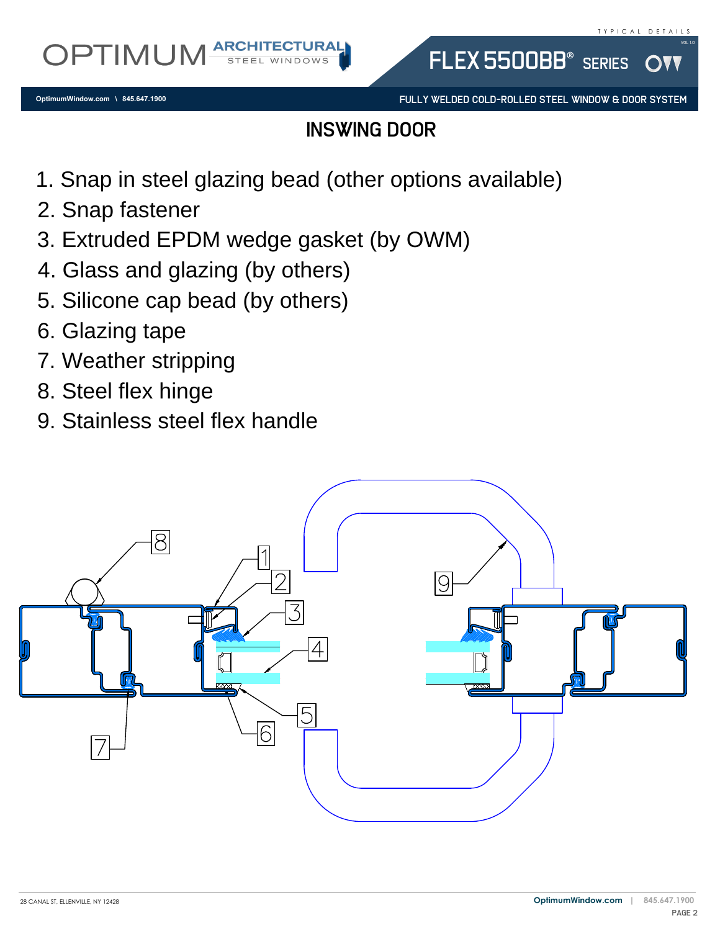FULLY WELDED COLD-ROLLED STEEL WINDOW & DOOR SYSTEM

FLEX 5500BB<sup>®</sup> SERIES

### inswing door

- 1. Snap in steel glazing bead (other options available)<br>
2. Snap fastener<br>
3. Extruded EPDM wedge gasket (by OWM)<br>
4. Glass and glazing (by others)<br>
5. Silicone cap bead (by others)<br>
6. Glazing tape
- 
- 1. Snap in steel (<br>2. Snap fastener<br>3. Extruded EPD<br>4. Glass and gla:<br>5. Silicone cap b<br>6. Glazing tape 3. Extruded EPDM wedge gasket (by OWM)
- 
- 3. Extruded EPDM wedge gask<br>4. Glass and glazing (by others)<br>5. Silicone cap bead (by others)<br>6. Glazing tape<br>7. Weather stripping<br>8. Steel flex hinge 5. Silicone cap bead (by others)<br>6. Glazing tape<br>7. Weather stripping<br>8. Steel flex hinge<br>9. Stainless steel flex handle
- 
- 
- 
- 

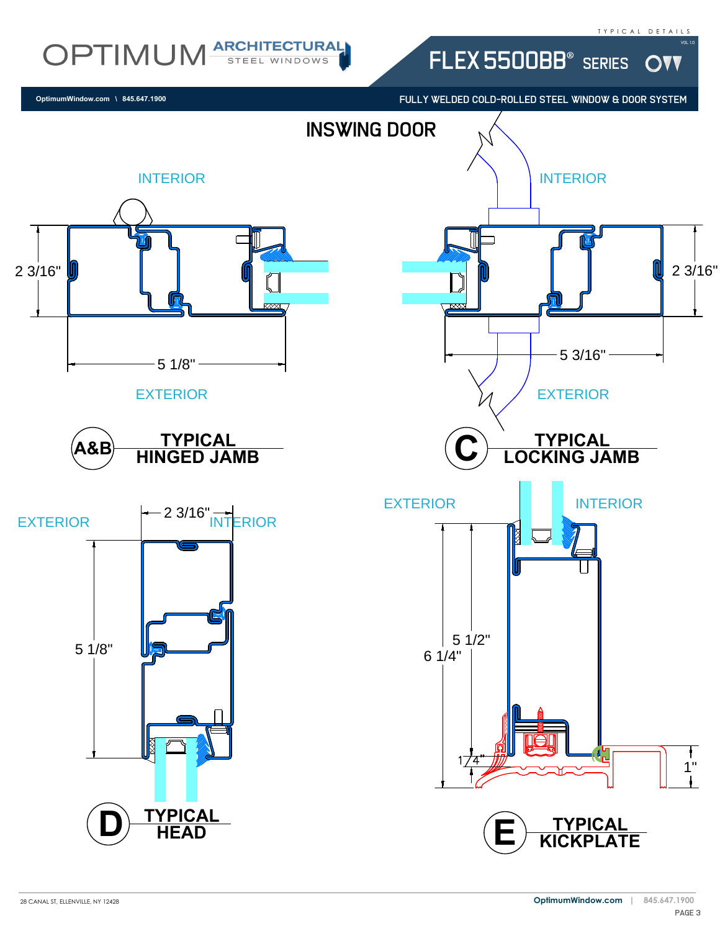OVV

Vol 1.0

# OPTIMUM ARCHITECTURAL

**OptimumWindow.com \ 845.647.1900**

FULLY WELDED COLD-ROLLED STEEL WINDOW & DOOR SYSTEM

FLEX 5500BB® SERIES

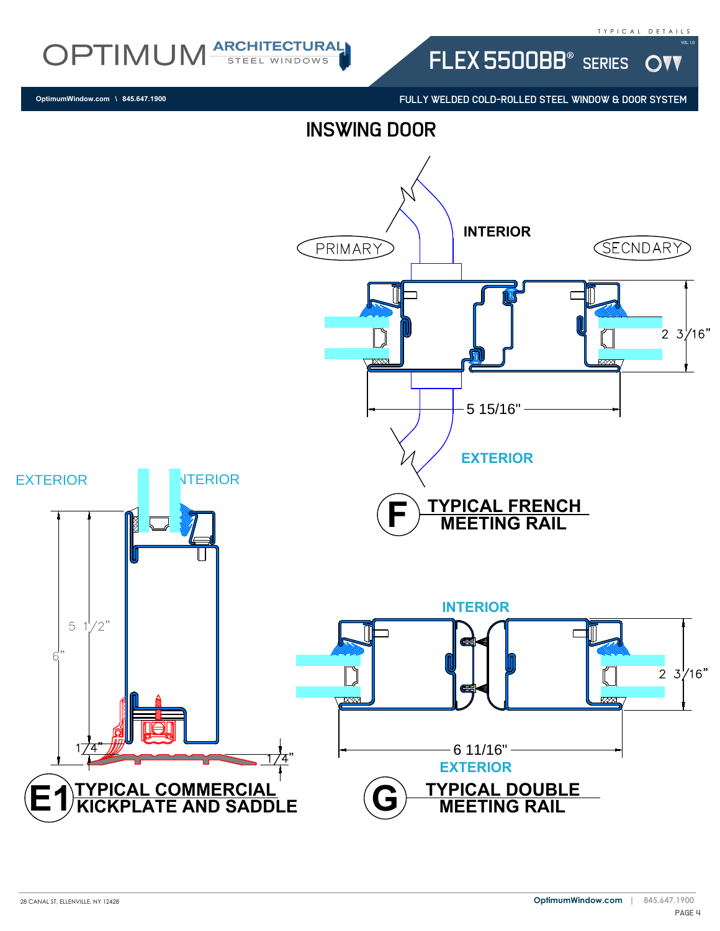**DVV** 

OPTIMUM ARCHITECTURAL

FULLY WELDED COLD-ROLLED STEEL WINDOW & DOOR SYSTEM

FLEX 5500BB® SERIES

**OptimumWindow.com \ 845.647.1900**

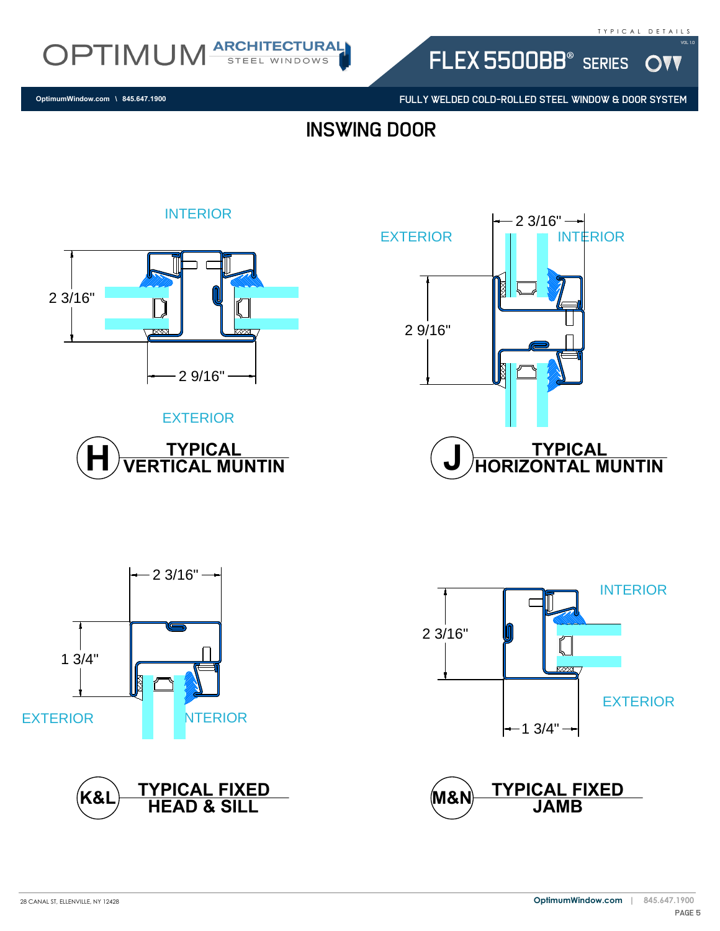W



FULLY WELDED COLD-ROLLED STEEL WINDOW & DOOR SYSTEM

FLEX 5500BB® SERIES

**OptimumWindow.com \ 845.647.1900**

## inswing door



#### EXTERIOR











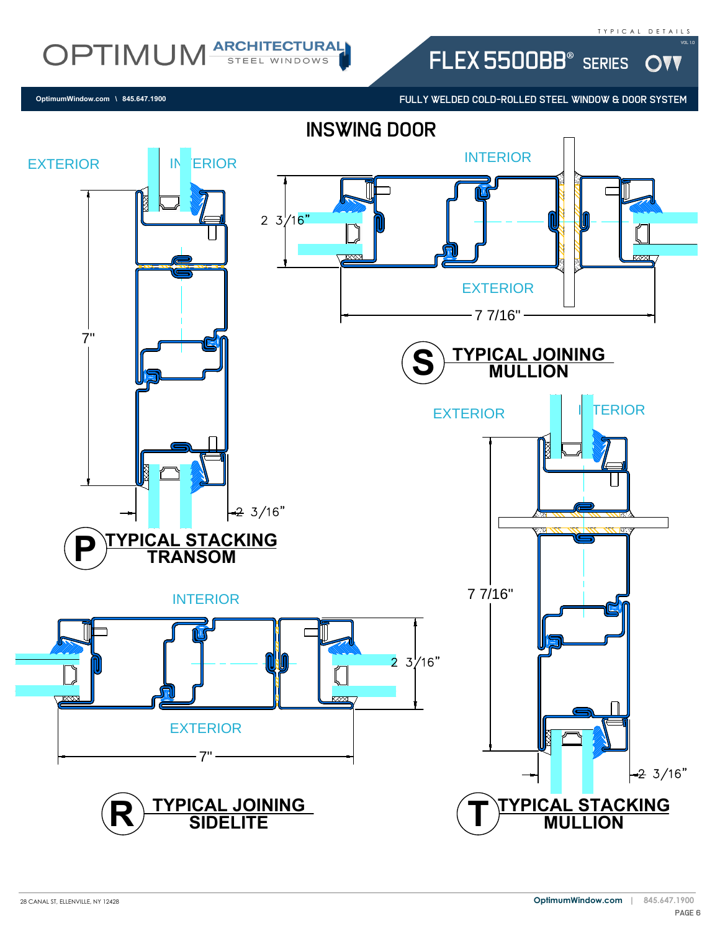OVV

Vol 1.0

## OPTIMUM ARCHITECTURAL

FULLY WELDED COLD-ROLLED STEEL WINDOW & DOOR SYSTEM

FLEX 5500BB<sup>®</sup> SERIES